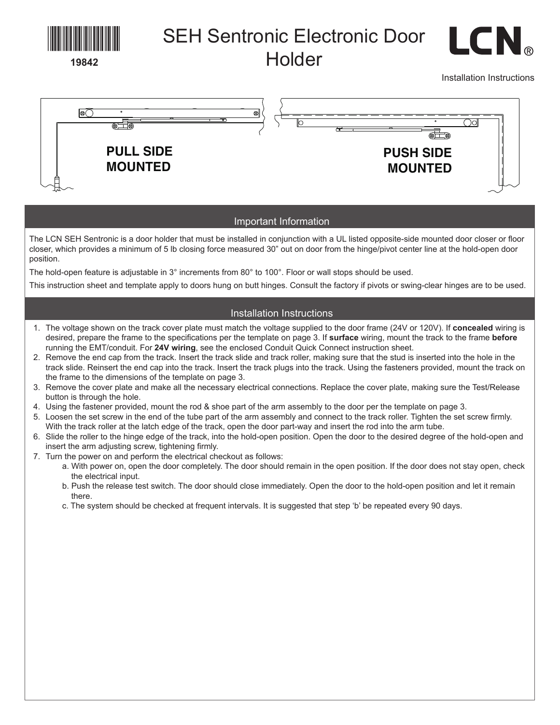

- b. Push the release test switch. The door should close immediately. Open the door to the hold-open position and let it remain there.
- c. The system should be checked at frequent intervals. It is suggested that step 'b' be repeated every 90 days.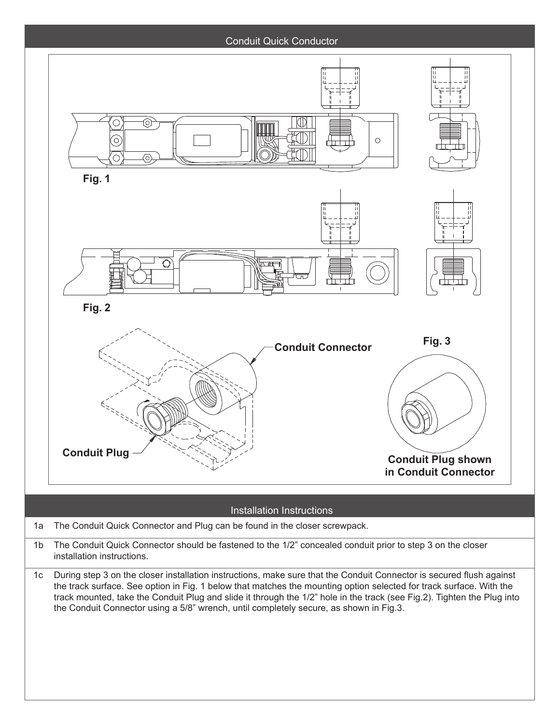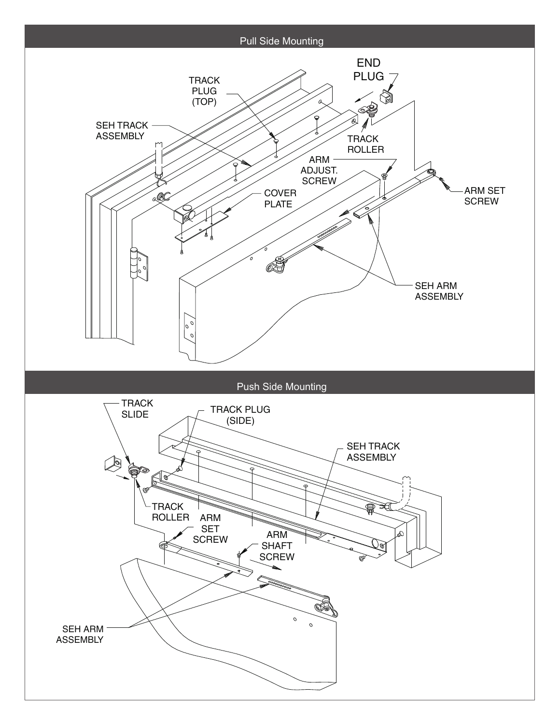